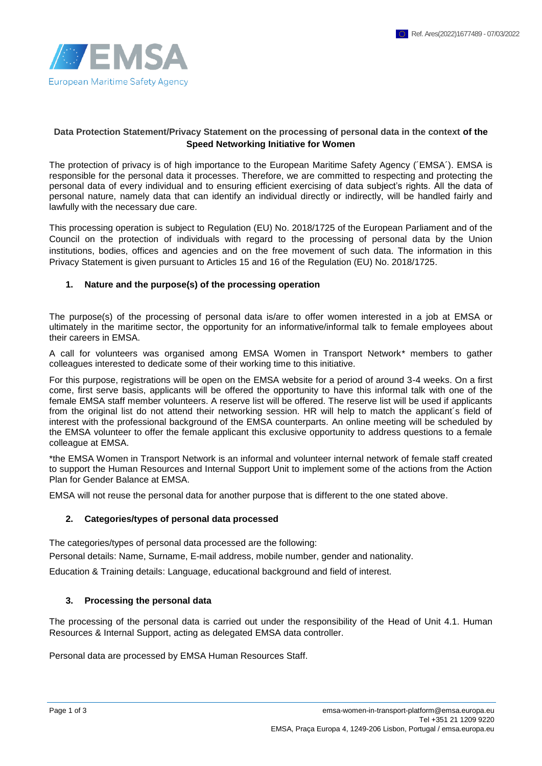

### **Data Protection Statement/Privacy Statement on the processing of personal data in the context of the Speed Networking Initiative for Women**

The protection of privacy is of high importance to the European Maritime Safety Agency (´EMSA´). EMSA is responsible for the personal data it processes. Therefore, we are committed to respecting and protecting the personal data of every individual and to ensuring efficient exercising of data subject's rights. All the data of personal nature, namely data that can identify an individual directly or indirectly, will be handled fairly and lawfully with the necessary due care.

This processing operation is subject to Regulation (EU) No. 2018/1725 of the European Parliament and of the Council on the protection of individuals with regard to the processing of personal data by the Union institutions, bodies, offices and agencies and on the free movement of such data. The information in this Privacy Statement is given pursuant to Articles 15 and 16 of the Regulation (EU) No. 2018/1725.

#### **1. Nature and the purpose(s) of the processing operation**

The purpose(s) of the processing of personal data is/are to offer women interested in a job at EMSA or ultimately in the maritime sector, the opportunity for an informative/informal talk to female employees about their careers in EMSA.

A call for volunteers was organised among EMSA Women in Transport Network\* members to gather colleagues interested to dedicate some of their working time to this initiative.

For this purpose, registrations will be open on the EMSA website for a period of around 3-4 weeks. On a first come, first serve basis, applicants will be offered the opportunity to have this informal talk with one of the female EMSA staff member volunteers. A reserve list will be offered. The reserve list will be used if applicants from the original list do not attend their networking session. HR will help to match the applicant´s field of interest with the professional background of the EMSA counterparts. An online meeting will be scheduled by the EMSA volunteer to offer the female applicant this exclusive opportunity to address questions to a female colleague at EMSA.

\*the EMSA Women in Transport Network is an informal and volunteer internal network of female staff created to support the Human Resources and Internal Support Unit to implement some of the actions from the Action Plan for Gender Balance at EMSA.

EMSA will not reuse the personal data for another purpose that is different to the one stated above.

#### **2. Categories/types of personal data processed**

The categories/types of personal data processed are the following:

Personal details: Name, Surname, E-mail address, mobile number, gender and nationality.

Education & Training details: Language, educational background and field of interest.

#### **3. Processing the personal data**

The processing of the personal data is carried out under the responsibility of the Head of Unit 4.1. Human Resources & Internal Support, acting as delegated EMSA data controller.

Personal data are processed by EMSA Human Resources Staff.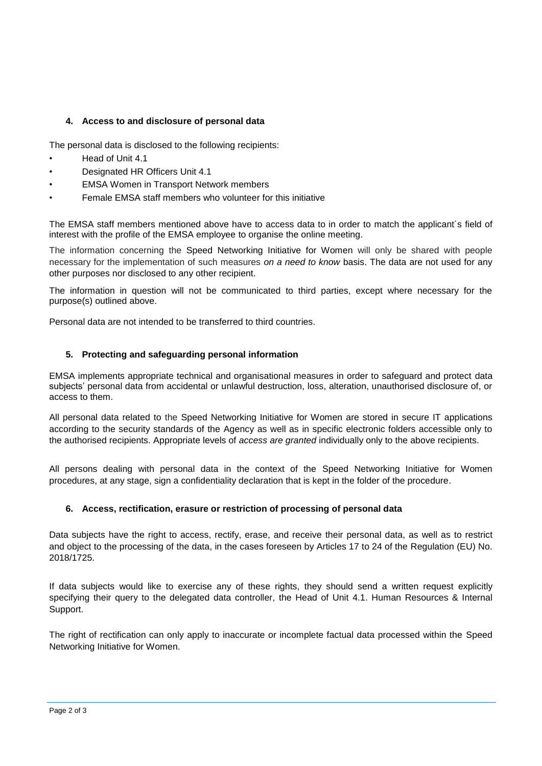# **4. Access to and disclosure of personal data**

The personal data is disclosed to the following recipients:

- Head of Unit 4.1
- Designated HR Officers Unit 4.1
- EMSA Women in Transport Network members
- Female EMSA staff members who volunteer for this initiative

The EMSA staff members mentioned above have to access data to in order to match the applicant´s field of interest with the profile of the EMSA employee to organise the online meeting.

The information concerning the Speed Networking Initiative for Women will only be shared with people necessary for the implementation of such measures *on a need to know* basis. The data are not used for any other purposes nor disclosed to any other recipient.

The information in question will not be communicated to third parties, except where necessary for the purpose(s) outlined above.

Personal data are not intended to be transferred to third countries.

#### **5. Protecting and safeguarding personal information**

EMSA implements appropriate technical and organisational measures in order to safeguard and protect data subjects' personal data from accidental or unlawful destruction, loss, alteration, unauthorised disclosure of, or access to them.

All personal data related to the Speed Networking Initiative for Women are stored in secure IT applications according to the security standards of the Agency as well as in specific electronic folders accessible only to the authorised recipients. Appropriate levels of *access are granted* individually only to the above recipients.

All persons dealing with personal data in the context of the Speed Networking Initiative for Women procedures, at any stage, sign a confidentiality declaration that is kept in the folder of the procedure.

#### **6. Access, rectification, erasure or restriction of processing of personal data**

Data subjects have the right to access, rectify, erase, and receive their personal data, as well as to restrict and object to the processing of the data, in the cases foreseen by Articles 17 to 24 of the Regulation (EU) No. 2018/1725.

If data subjects would like to exercise any of these rights, they should send a written request explicitly specifying their query to the delegated data controller, the Head of Unit 4.1. Human Resources & Internal Support.

The right of rectification can only apply to inaccurate or incomplete factual data processed within the Speed Networking Initiative for Women.